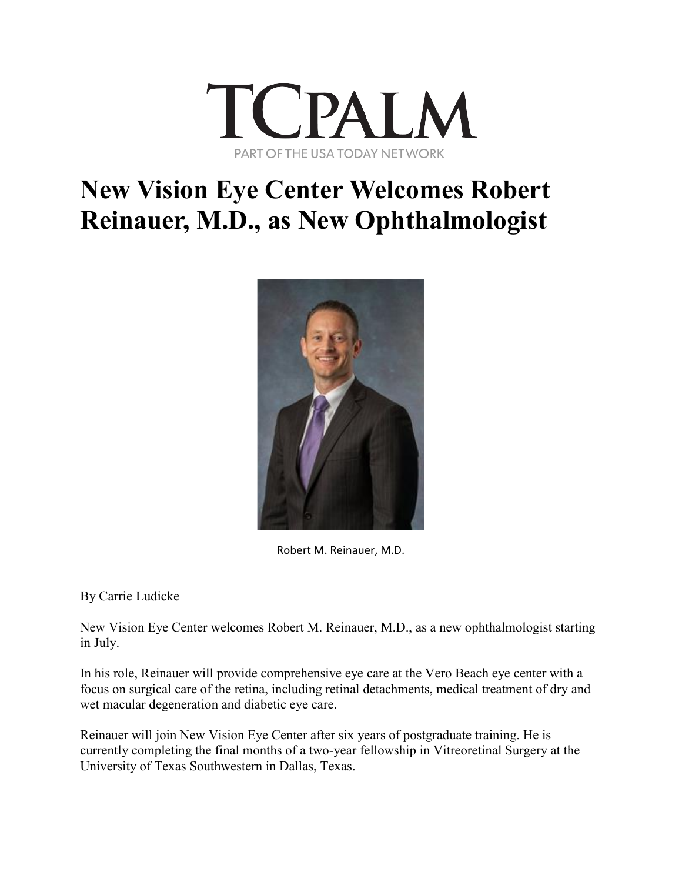

## **New Vision Eye Center Welcomes Robert Reinauer, M.D., as New Ophthalmologist**



Robert M. Reinauer, M.D.

By Carrie Ludicke

New Vision Eye Center welcomes Robert M. Reinauer, M.D., as a new ophthalmologist starting in July.

In his role, Reinauer will provide comprehensive eye care at the Vero Beach eye center with a focus on surgical care of the retina, including retinal detachments, medical treatment of dry and wet macular degeneration and diabetic eye care.

Reinauer will join New Vision Eye Center after six years of postgraduate training. He is currently completing the final months of a two-year fellowship in Vitreoretinal Surgery at the University of Texas Southwestern in Dallas, Texas.